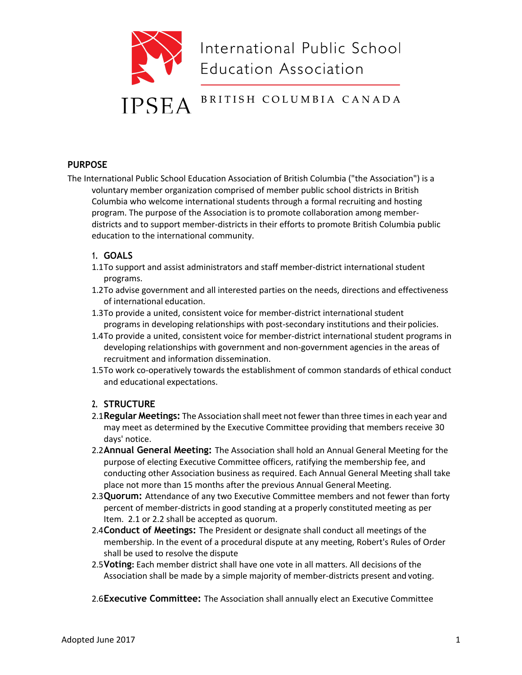

### **PURPOSE**

The International Public School Education Association of British Columbia ("the Association") is a voluntary member organization comprised of member public school districts in British Columbia who welcome international students through a formal recruiting and hosting program. The purpose of the Association is to promote collaboration among memberdistricts and to support member-districts in their efforts to promote British Columbia public education to the international community.

### **1. GOALS**

- 1.1To support and assist administrators and staff member-district international student programs.
- 1.2To advise government and all interested parties on the needs, directions and effectiveness of international education.
- 1.3To provide a united, consistent voice for member-district international student programs in developing relationships with post-secondary institutions and their policies.
- 1.4To provide a united, consistent voice for member-district international student programs in developing relationships with government and non-government agencies in the areas of recruitment and information dissemination.
- 1.5To work co-operatively towards the establishment of common standards of ethical conduct and educational expectations.

### **2. STRUCTURE**

- 2.1**Regular Meetings:** The Association shall meet notfewer than three timesin each year and may meet as determined by the Executive Committee providing that members receive 30 days' notice.
- 2.2**Annual General Meeting:** The Association shall hold an Annual General Meeting for the purpose of electing Executive Committee officers, ratifying the membership fee, and conducting other Association business as required. Each Annual General Meeting shall take place not more than 15 months after the previous Annual General Meeting.
- 2.3**Quorum:** Attendance of any two Executive Committee members and not fewer than forty percent of member-districts in good standing at a properly constituted meeting as per Item. 2.1 or 2.2 shall be accepted as quorum.
- 2.4**Conduct of Meetings:** The President or designate shall conduct all meetings of the membership. In the event of a procedural dispute at any meeting, Robert's Rules of Order shall be used to resolve the dispute
- 2.5**Voting:** Each member district shall have one vote in all matters. All decisions of the Association shall be made by a simple majority of member-districts present and voting.
- 2.6**Executive Committee:** The Association shall annually elect an Executive Committee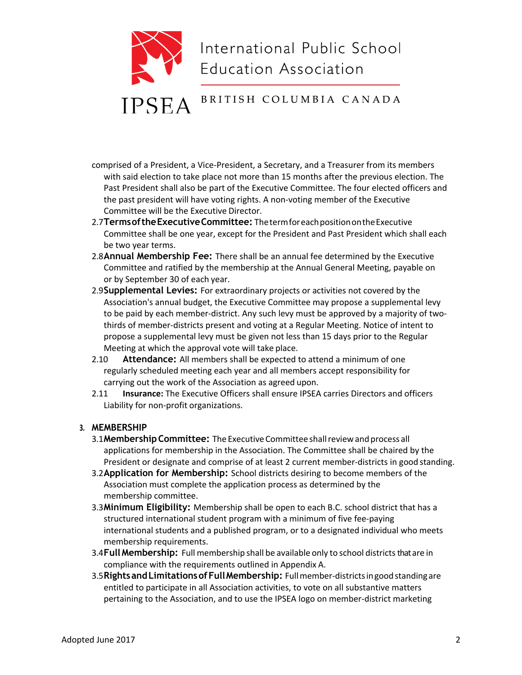

- comprised of a President, a Vice-President, a Secretary, and a Treasurer from its members with said election to take place not more than 15 months after the previous election. The Past President shall also be part of the Executive Committee. The four elected officers and the past president will have voting rights. A non-voting member of the Executive Committee will be the Executive Director.
- 2.7**TermsoftheExecutiveCommittee:** ThetermforeachpositionontheExecutive Committee shall be one year, except for the President and Past President which shall each be two year terms.
- 2.8**Annual Membership Fee:** There shall be an annual fee determined by the Executive Committee and ratified by the membership at the Annual General Meeting, payable on or by September 30 of each year.
- 2.9**Supplemental Levies:** For extraordinary projects or activities not covered by the Association's annual budget, the Executive Committee may propose a supplemental levy to be paid by each member-district. Any such levy must be approved by a majority of twothirds of member-districts present and voting at a Regular Meeting. Notice of intent to propose a supplemental levy must be given not less than 15 days prior to the Regular Meeting at which the approval vote will take place.
- 2.10 **Attendance:** All members shall be expected to attend a minimum of one regularly scheduled meeting each year and all members accept responsibility for carrying out the work of the Association as agreed upon.
- 2.11 **Insurance:** The Executive Officers shall ensure IPSEA carries Directors and officers Liability for non-profit organizations.

### **3. MEMBERSHIP**

- 3.1**MembershipCommittee:** The ExecutiveCommittee shallreviewandprocess all applications for membership in the Association. The Committee shall be chaired by the President or designate and comprise of at least 2 current member-districts in good standing.
- 3.2**Application for Membership:** School districts desiring to become members of the Association must complete the application process as determined by the membership committee.
- 3.3**Minimum Eligibility:** Membership shall be open to each B.C. school district that has a structured international student program with a minimum of five fee-paying international students and a published program, or to a designated individual who meets membership requirements.
- 3.4**Full Membership:** Full membership shall be available only to school districtsthat are in compliance with the requirements outlined in Appendix A.
- 3.5**RightsandLimitationsofFullMembership:** Fullmember-districtsingoodstandingare entitled to participate in all Association activities, to vote on all substantive matters pertaining to the Association, and to use the IPSEA logo on member-district marketing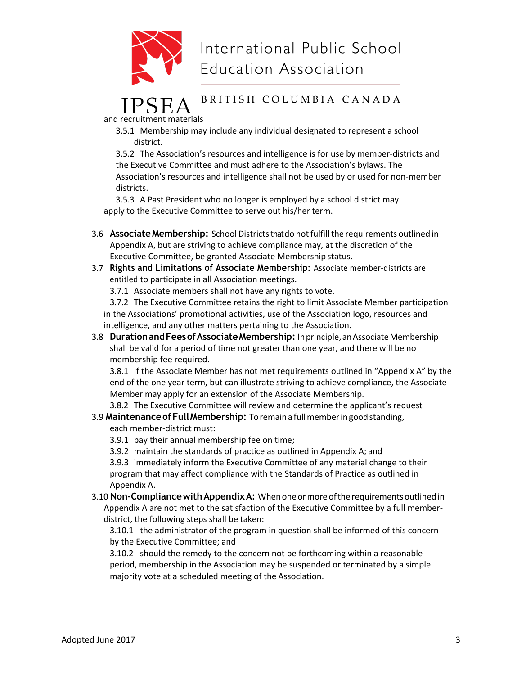

# International Public School **Education Association**

## BRITISH COLUMBIA CANADA

and recruitment materials

3.5.1 Membership may include any individual designated to represent a school district.

3.5.2 The Association's resources and intelligence is for use by member-districts and the Executive Committee and must adhere to the Association's bylaws. The Association's resources and intelligence shall not be used by or used for non-member districts.

3.5.3 A Past President who no longer is employed by a school district may apply to the Executive Committee to serve out his/her term.

- 3.6 **AssociateMembership:** SchoolDistrictsthat do notfulfillthe requirements outlined in Appendix A, but are striving to achieve compliance may, at the discretion of the Executive Committee, be granted Associate Membership status.
- 3.7 **Rights and Limitations of Associate Membership:** Associate member-districts are entitled to participate in all Association meetings.

3.7.1 Associate members shall not have any rights to vote.

3.7.2 The Executive Committee retains the right to limit Associate Member participation in the Associations' promotional activities, use of the Association logo, resources and intelligence, and any other matters pertaining to the Association.

3.8 **Duration and Fees of Associate Membership:** In principle, an Associate Membership shall be valid for a period of time not greater than one year, and there will be no membership fee required.

3.8.1 If the Associate Member has not met requirements outlined in "Appendix A" by the end of the one year term, but can illustrate striving to achieve compliance, the Associate Member may apply for an extension of the Associate Membership.

3.8.2 The Executive Committee will review and determine the applicant's request 3.9 **MaintenanceofFullMembership:** Toremaina fullmemberingoodstanding,

each member-district must:

3.9.1 pay their annual membership fee on time;

3.9.2 maintain the standards of practice as outlined in Appendix A; and

3.9.3 immediately inform the Executive Committee of any material change to their program that may affect compliance with the Standards of Practice as outlined in Appendix A.

3.10 **Non-CompliancewithAppendixA:** Whenoneormoreofthe requirementsoutlinedin Appendix A are not met to the satisfaction of the Executive Committee by a full memberdistrict, the following steps shall be taken:

3.10.1 the administrator of the program in question shall be informed of this concern by the Executive Committee; and

3.10.2 should the remedy to the concern not be forthcoming within a reasonable period, membership in the Association may be suspended or terminated by a simple majority vote at a scheduled meeting of the Association.